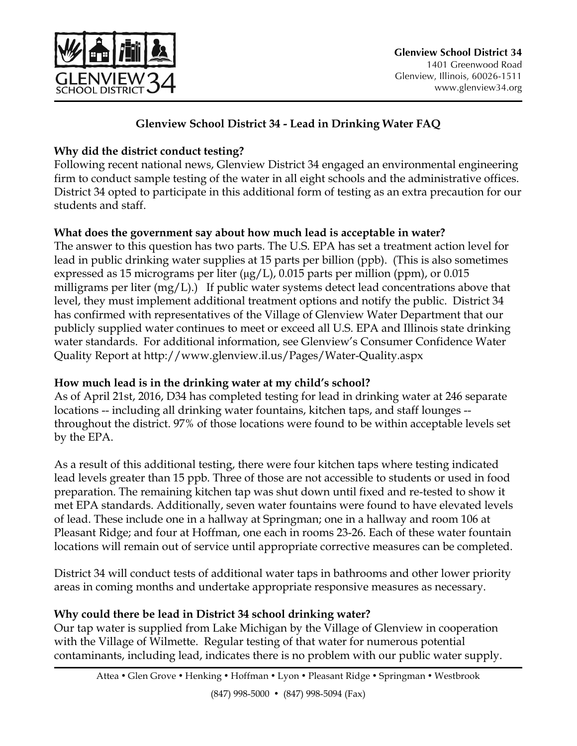

## **Glenview School District 34 - Lead in Drinking Water FAQ**

## **Why did the district conduct testing?**

Following recent national news, Glenview District 34 engaged an environmental engineering firm to conduct sample testing of the water in all eight schools and the administrative offices. District 34 opted to participate in this additional form of testing as an extra precaution for our students and staff.

## **What does the government say about how much lead is acceptable in water?**

The answer to this question has two parts. The U.S. EPA has set a treatment action level for lead in public drinking water supplies at 15 parts per billion (ppb). (This is also sometimes expressed as 15 micrograms per liter  $(\mu g/L)$ , 0.015 parts per million (ppm), or 0.015 milligrams per liter (mg/L).) If public water systems detect lead concentrations above that level, they must implement additional treatment options and notify the public. District 34 has confirmed with representatives of the Village of Glenview Water Department that our publicly supplied water continues to meet or exceed all U.S. EPA and Illinois state drinking water standards. For additional information, see Glenview's Consumer Confidence Water Quality Report at http://www.glenview.il.us/Pages/Water-Quality.aspx

## **How much lead is in the drinking water at my child's school?**

As of April 21st, 2016, D34 has completed testing for lead in drinking water at 246 separate locations -- including all drinking water fountains, kitchen taps, and staff lounges - throughout the district. 97% of those locations were found to be within acceptable levels set by the EPA.

As a result of this additional testing, there were four kitchen taps where testing indicated lead levels greater than 15 ppb. Three of those are not accessible to students or used in food preparation. The remaining kitchen tap was shut down until fixed and re-tested to show it met EPA standards. Additionally, seven water fountains were found to have elevated levels of lead. These include one in a hallway at Springman; one in a hallway and room 106 at Pleasant Ridge; and four at Hoffman, one each in rooms 23-26. Each of these water fountain locations will remain out of service until appropriate corrective measures can be completed.

District 34 will conduct tests of additional water taps in bathrooms and other lower priority areas in coming months and undertake appropriate responsive measures as necessary.

# **Why could there be lead in District 34 school drinking water?**

Our tap water is supplied from Lake Michigan by the Village of Glenview in cooperation with the Village of Wilmette. Regular testing of that water for numerous potential contaminants, including lead, indicates there is no problem with our public water supply.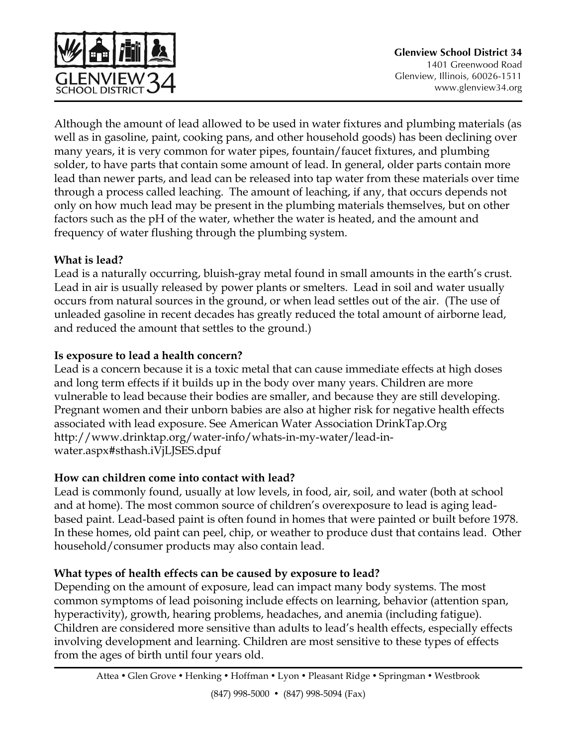

Although the amount of lead allowed to be used in water fixtures and plumbing materials (as well as in gasoline, paint, cooking pans, and other household goods) has been declining over many years, it is very common for water pipes, fountain/faucet fixtures, and plumbing solder, to have parts that contain some amount of lead. In general, older parts contain more lead than newer parts, and lead can be released into tap water from these materials over time through a process called leaching. The amount of leaching, if any, that occurs depends not only on how much lead may be present in the plumbing materials themselves, but on other factors such as the pH of the water, whether the water is heated, and the amount and frequency of water flushing through the plumbing system.

## **What is lead?**

Lead is a naturally occurring, bluish-gray metal found in small amounts in the earth's crust. Lead in air is usually released by power plants or smelters. Lead in soil and water usually occurs from natural sources in the ground, or when lead settles out of the air. (The use of unleaded gasoline in recent decades has greatly reduced the total amount of airborne lead, and reduced the amount that settles to the ground.)

## **Is exposure to lead a health concern?**

Lead is a concern because it is a toxic metal that can cause immediate effects at high doses and long term effects if it builds up in the body over many years. Children are more vulnerable to lead because their bodies are smaller, and because they are still developing. Pregnant women and their unborn babies are also at higher risk for negative health effects associated with lead exposure. See American Water Association DrinkTap.Org http://www.drinktap.org/water-info/whats-in-my-water/lead-inwater.aspx#sthash.iVjLJSES.dpuf

#### **How can children come into contact with lead?**

Lead is commonly found, usually at low levels, in food, air, soil, and water (both at school and at home). The most common source of children's overexposure to lead is aging leadbased paint. Lead-based paint is often found in homes that were painted or built before 1978. In these homes, old paint can peel, chip, or weather to produce dust that contains lead. Other household/consumer products may also contain lead.

## **What types of health effects can be caused by exposure to lead?**

Depending on the amount of exposure, lead can impact many body systems. The most common symptoms of lead poisoning include effects on learning, behavior (attention span, hyperactivity), growth, hearing problems, headaches, and anemia (including fatigue). Children are considered more sensitive than adults to lead's health effects, especially effects involving development and learning. Children are most sensitive to these types of effects from the ages of birth until four years old.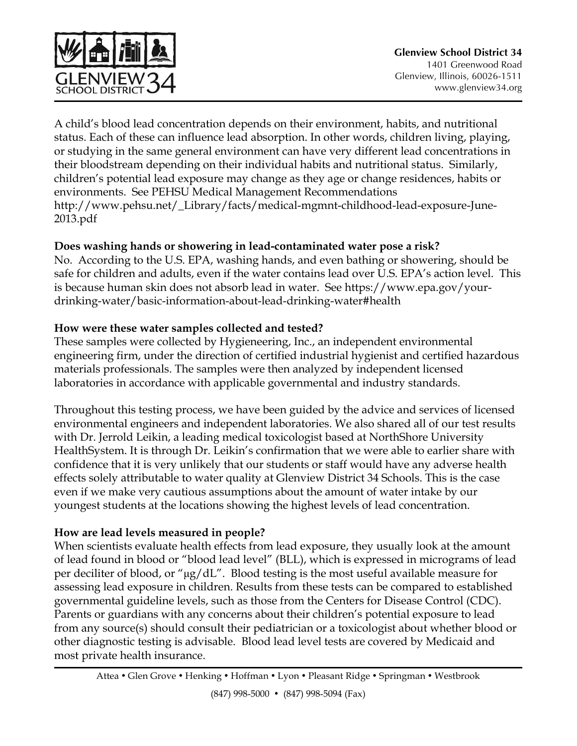

A child's blood lead concentration depends on their environment, habits, and nutritional status. Each of these can influence lead absorption. In other words, children living, playing, or studying in the same general environment can have very different lead concentrations in their bloodstream depending on their individual habits and nutritional status. Similarly, children's potential lead exposure may change as they age or change residences, habits or environments. See PEHSU Medical Management Recommendations http://www.pehsu.net/\_Library/facts/medical-mgmnt-childhood-lead-exposure-June-2013.pdf

### **Does washing hands or showering in lead-contaminated water pose a risk?**

No. According to the U.S. EPA, washing hands, and even bathing or showering, should be safe for children and adults, even if the water contains lead over U.S. EPA's action level. This is because human skin does not absorb lead in water. See https://www.epa.gov/yourdrinking-water/basic-information-about-lead-drinking-water#health

### **How were these water samples collected and tested?**

These samples were collected by Hygieneering, Inc., an independent environmental engineering firm, under the direction of certified industrial hygienist and certified hazardous materials professionals. The samples were then analyzed by independent licensed laboratories in accordance with applicable governmental and industry standards.

Throughout this testing process, we have been guided by the advice and services of licensed environmental engineers and independent laboratories. We also shared all of our test results with Dr. Jerrold Leikin, a leading medical toxicologist based at NorthShore University HealthSystem. It is through Dr. Leikin's confirmation that we were able to earlier share with confidence that it is very unlikely that our students or staff would have any adverse health effects solely attributable to water quality at Glenview District 34 Schools. This is the case even if we make very cautious assumptions about the amount of water intake by our youngest students at the locations showing the highest levels of lead concentration.

## **How are lead levels measured in people?**

When scientists evaluate health effects from lead exposure, they usually look at the amount of lead found in blood or "blood lead level" (BLL), which is expressed in micrograms of lead per deciliter of blood, or "µg/dL". Blood testing is the most useful available measure for assessing lead exposure in children. Results from these tests can be compared to established governmental guideline levels, such as those from the Centers for Disease Control (CDC). Parents or guardians with any concerns about their children's potential exposure to lead from any source(s) should consult their pediatrician or a toxicologist about whether blood or other diagnostic testing is advisable. Blood lead level tests are covered by Medicaid and most private health insurance.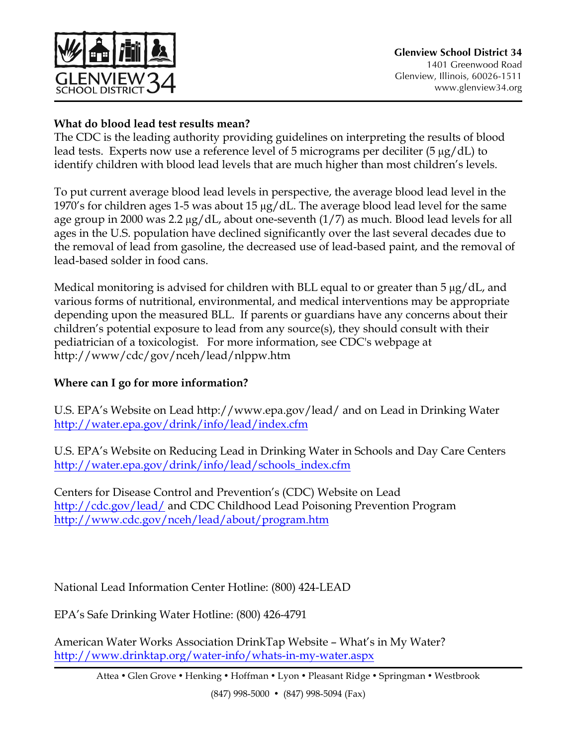

## **What do blood lead test results mean?**

The CDC is the leading authority providing guidelines on interpreting the results of blood lead tests. Experts now use a reference level of 5 micrograms per deciliter (5 µg/dL) to identify children with blood lead levels that are much higher than most children's levels.

To put current average blood lead levels in perspective, the average blood lead level in the 1970's for children ages 1-5 was about 15 µg/dL. The average blood lead level for the same age group in 2000 was 2.2 µg/dL, about one-seventh (1/7) as much. Blood lead levels for all ages in the U.S. population have declined significantly over the last several decades due to the removal of lead from gasoline, the decreased use of lead-based paint, and the removal of lead-based solder in food cans.

Medical monitoring is advised for children with BLL equal to or greater than 5  $\mu$ g/dL, and various forms of nutritional, environmental, and medical interventions may be appropriate depending upon the measured BLL. If parents or guardians have any concerns about their children's potential exposure to lead from any source(s), they should consult with their pediatrician of a toxicologist. For more information, see CDC's webpage at http://www/cdc/gov/nceh/lead/nlppw.htm

# **Where can I go for more information?**

U.S. EPA's Website on Lead http://www.epa.gov/lead/ and on Lead in Drinking Water http://water.epa.gov/drink/info/lead/index.cfm

U.S. EPA's Website on Reducing Lead in Drinking Water in Schools and Day Care Centers http://water.epa.gov/drink/info/lead/schools\_index.cfm

Centers for Disease Control and Prevention's (CDC) Website on Lead http://cdc.gov/lead/ and CDC Childhood Lead Poisoning Prevention Program http://www.cdc.gov/nceh/lead/about/program.htm

National Lead Information Center Hotline: (800) 424-LEAD

EPA's Safe Drinking Water Hotline: (800) 426-4791

American Water Works Association DrinkTap Website – What's in My Water? http://www.drinktap.org/water-info/whats-in-my-water.aspx

Attea • Glen Grove • Henking • Hoffman • Lyon • Pleasant Ridge • Springman • Westbrook

(847) 998-5000 • (847) 998-5094 (Fax)